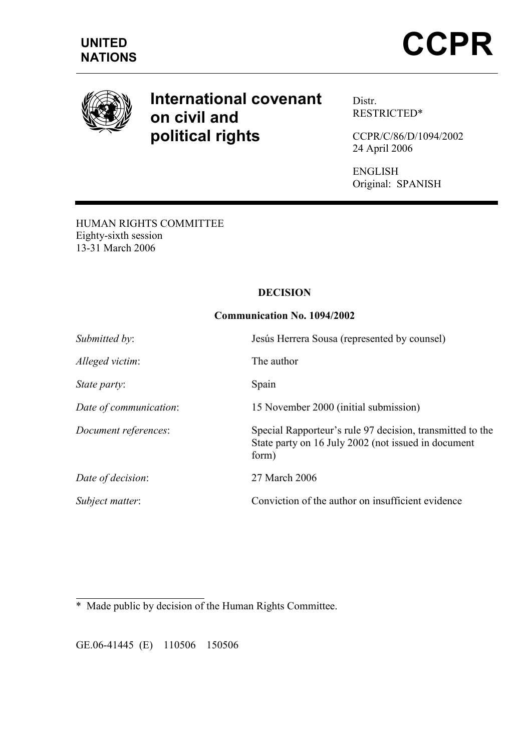

# International covenant on civil and political rights

Distr. RESTRICTED\*

CCPR/C/86/D/1094/2002 24 April 2006

ENGLISH Original: SPANISH

HUMAN RIGHTS COMMITTEE Eighty-sixth session 13-31 March 2006

# DECISION

## Communication No. 1094/2002

| Submitted by:          | Jesús Herrera Sousa (represented by counsel)                                                                              |
|------------------------|---------------------------------------------------------------------------------------------------------------------------|
| Alleged victim:        | The author                                                                                                                |
| State party:           | Spain                                                                                                                     |
| Date of communication: | 15 November 2000 (initial submission)                                                                                     |
| Document references:   | Special Rapporteur's rule 97 decision, transmitted to the<br>State party on 16 July 2002 (not issued in document<br>form) |
| Date of decision:      | 27 March 2006                                                                                                             |
| Subject matter:        | Conviction of the author on insufficient evidence                                                                         |

 $\overline{a}$ \* Made public by decision of the Human Rights Committee.

GE.06-41445 (E) 110506 150506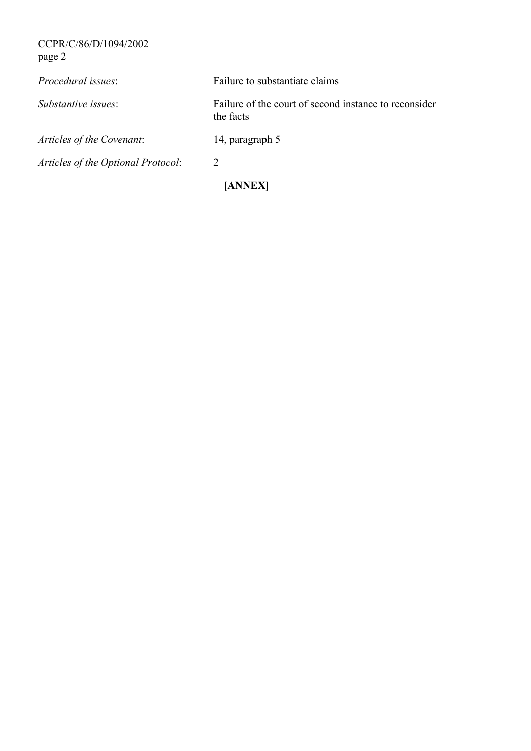CCPR/C/86/D/1094/2002 page 2

| Procedural issues:                 | Failure to substantiate claims                                     |  |
|------------------------------------|--------------------------------------------------------------------|--|
| Substantive issues:                | Failure of the court of second instance to reconsider<br>the facts |  |
| Articles of the Covenant:          | 14, paragraph 5                                                    |  |
| Articles of the Optional Protocol: | 2                                                                  |  |
| [ANNEX]                            |                                                                    |  |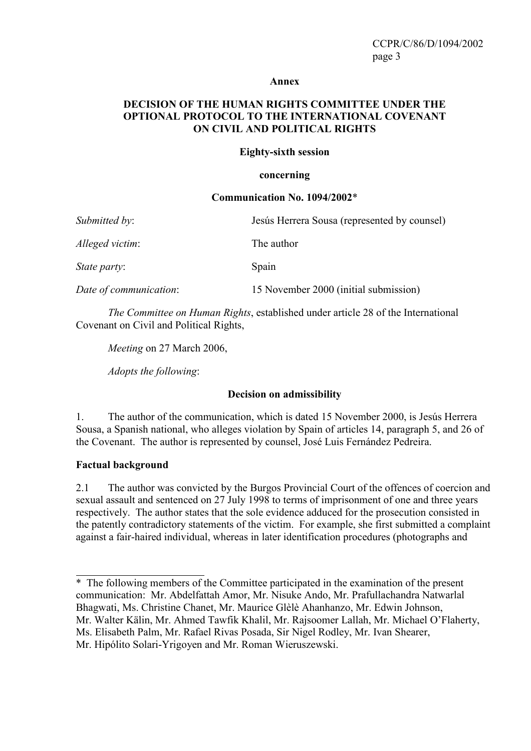#### Annex

# DECISION OF THE HUMAN RIGHTS COMMITTEE UNDER THE OPTIONAL PROTOCOL TO THE INTERNATIONAL COVENANT ON CIVIL AND POLITICAL RIGHTS

#### Eighty-sixth session

#### concerning

#### Communication No. 1094/2002\*

| Submitted by:          | Jesús Herrera Sousa (represented by counsel) |
|------------------------|----------------------------------------------|
| Alleged victim:        | The author                                   |
| <i>State party:</i>    | Spain                                        |
| Date of communication: | 15 November 2000 (initial submission)        |

The Committee on Human Rights, established under article 28 of the International Covenant on Civil and Political Rights,

Meeting on 27 March 2006,

Adopts the following:

## Decision on admissibility

1. The author of the communication, which is dated 15 November 2000, is Jesús Herrera Sousa, a Spanish national, who alleges violation by Spain of articles 14, paragraph 5, and 26 of the Covenant. The author is represented by counsel, José Luis Fernández Pedreira.

## Factual background

 $\overline{a}$ 

2.1 The author was convicted by the Burgos Provincial Court of the offences of coercion and sexual assault and sentenced on 27 July 1998 to terms of imprisonment of one and three years respectively. The author states that the sole evidence adduced for the prosecution consisted in the patently contradictory statements of the victim. For example, she first submitted a complaint against a fair-haired individual, whereas in later identification procedures (photographs and

<sup>\*</sup> The following members of the Committee participated in the examination of the present communication: Mr. Abdelfattah Amor, Mr. Nisuke Ando, Mr. Prafullachandra Natwarlal Bhagwati, Ms. Christine Chanet, Mr. Maurice Glèlè Ahanhanzo, Mr. Edwin Johnson, Mr. Walter Kälin, Mr. Ahmed Tawfik Khalil, Mr. Rajsoomer Lallah, Mr. Michael O'Flaherty, Ms. Elisabeth Palm, Mr. Rafael Rivas Posada, Sir Nigel Rodley, Mr. Ivan Shearer, Mr. Hipólito Solari-Yrigoyen and Mr. Roman Wieruszewski.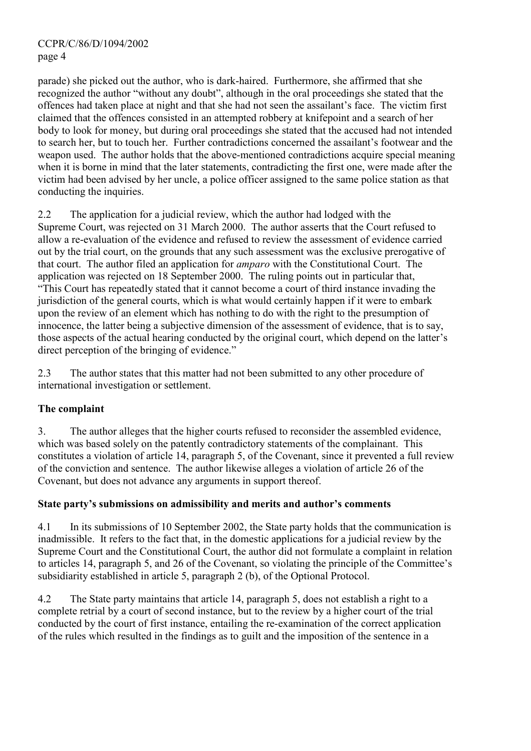parade) she picked out the author, who is dark-haired. Furthermore, she affirmed that she recognized the author "without any doubt", although in the oral proceedings she stated that the offences had taken place at night and that she had not seen the assailant's face. The victim first claimed that the offences consisted in an attempted robbery at knifepoint and a search of her body to look for money, but during oral proceedings she stated that the accused had not intended to search her, but to touch her. Further contradictions concerned the assailant's footwear and the weapon used. The author holds that the above-mentioned contradictions acquire special meaning when it is borne in mind that the later statements, contradicting the first one, were made after the victim had been advised by her uncle, a police officer assigned to the same police station as that conducting the inquiries.

2.2 The application for a judicial review, which the author had lodged with the Supreme Court, was rejected on 31 March 2000. The author asserts that the Court refused to allow a re-evaluation of the evidence and refused to review the assessment of evidence carried out by the trial court, on the grounds that any such assessment was the exclusive prerogative of that court. The author filed an application for amparo with the Constitutional Court. The application was rejected on 18 September 2000. The ruling points out in particular that, "This Court has repeatedly stated that it cannot become a court of third instance invading the jurisdiction of the general courts, which is what would certainly happen if it were to embark upon the review of an element which has nothing to do with the right to the presumption of innocence, the latter being a subjective dimension of the assessment of evidence, that is to say, those aspects of the actual hearing conducted by the original court, which depend on the latter's direct perception of the bringing of evidence."

2.3 The author states that this matter had not been submitted to any other procedure of international investigation or settlement.

# The complaint

3. The author alleges that the higher courts refused to reconsider the assembled evidence, which was based solely on the patently contradictory statements of the complainant. This constitutes a violation of article 14, paragraph 5, of the Covenant, since it prevented a full review of the conviction and sentence. The author likewise alleges a violation of article 26 of the Covenant, but does not advance any arguments in support thereof.

# State party's submissions on admissibility and merits and author's comments

4.1 In its submissions of 10 September 2002, the State party holds that the communication is inadmissible. It refers to the fact that, in the domestic applications for a judicial review by the Supreme Court and the Constitutional Court, the author did not formulate a complaint in relation to articles 14, paragraph 5, and 26 of the Covenant, so violating the principle of the Committee's subsidiarity established in article 5, paragraph 2 (b), of the Optional Protocol.

4.2 The State party maintains that article 14, paragraph 5, does not establish a right to a complete retrial by a court of second instance, but to the review by a higher court of the trial conducted by the court of first instance, entailing the re-examination of the correct application of the rules which resulted in the findings as to guilt and the imposition of the sentence in a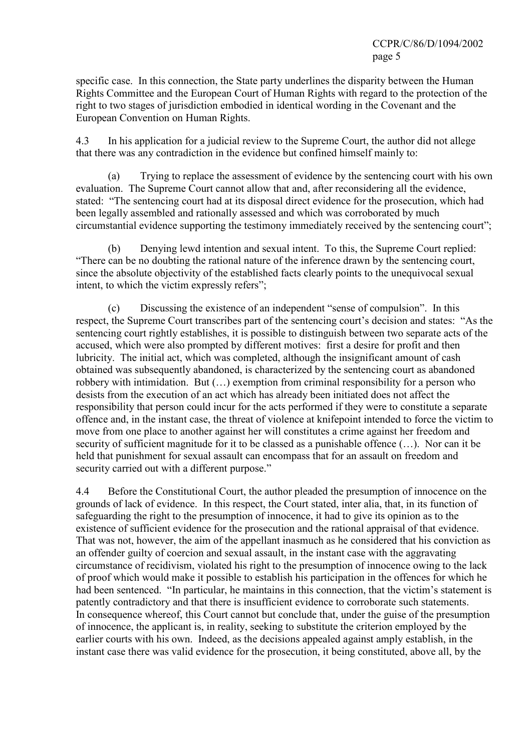specific case. In this connection, the State party underlines the disparity between the Human Rights Committee and the European Court of Human Rights with regard to the protection of the right to two stages of jurisdiction embodied in identical wording in the Covenant and the European Convention on Human Rights.

4.3 In his application for a judicial review to the Supreme Court, the author did not allege that there was any contradiction in the evidence but confined himself mainly to:

 (a) Trying to replace the assessment of evidence by the sentencing court with his own evaluation. The Supreme Court cannot allow that and, after reconsidering all the evidence, stated: "The sentencing court had at its disposal direct evidence for the prosecution, which had been legally assembled and rationally assessed and which was corroborated by much circumstantial evidence supporting the testimony immediately received by the sentencing court";

 (b) Denying lewd intention and sexual intent. To this, the Supreme Court replied: "There can be no doubting the rational nature of the inference drawn by the sentencing court, since the absolute objectivity of the established facts clearly points to the unequivocal sexual intent, to which the victim expressly refers";

 (c) Discussing the existence of an independent "sense of compulsion". In this respect, the Supreme Court transcribes part of the sentencing court's decision and states: "As the sentencing court rightly establishes, it is possible to distinguish between two separate acts of the accused, which were also prompted by different motives: first a desire for profit and then lubricity. The initial act, which was completed, although the insignificant amount of cash obtained was subsequently abandoned, is characterized by the sentencing court as abandoned robbery with intimidation. But (…) exemption from criminal responsibility for a person who desists from the execution of an act which has already been initiated does not affect the responsibility that person could incur for the acts performed if they were to constitute a separate offence and, in the instant case, the threat of violence at knifepoint intended to force the victim to move from one place to another against her will constitutes a crime against her freedom and security of sufficient magnitude for it to be classed as a punishable offence (…). Nor can it be held that punishment for sexual assault can encompass that for an assault on freedom and security carried out with a different purpose."

4.4 Before the Constitutional Court, the author pleaded the presumption of innocence on the grounds of lack of evidence. In this respect, the Court stated, inter alia, that, in its function of safeguarding the right to the presumption of innocence, it had to give its opinion as to the existence of sufficient evidence for the prosecution and the rational appraisal of that evidence. That was not, however, the aim of the appellant inasmuch as he considered that his conviction as an offender guilty of coercion and sexual assault, in the instant case with the aggravating circumstance of recidivism, violated his right to the presumption of innocence owing to the lack of proof which would make it possible to establish his participation in the offences for which he had been sentenced. "In particular, he maintains in this connection, that the victim's statement is patently contradictory and that there is insufficient evidence to corroborate such statements. In consequence whereof, this Court cannot but conclude that, under the guise of the presumption of innocence, the applicant is, in reality, seeking to substitute the criterion employed by the earlier courts with his own. Indeed, as the decisions appealed against amply establish, in the instant case there was valid evidence for the prosecution, it being constituted, above all, by the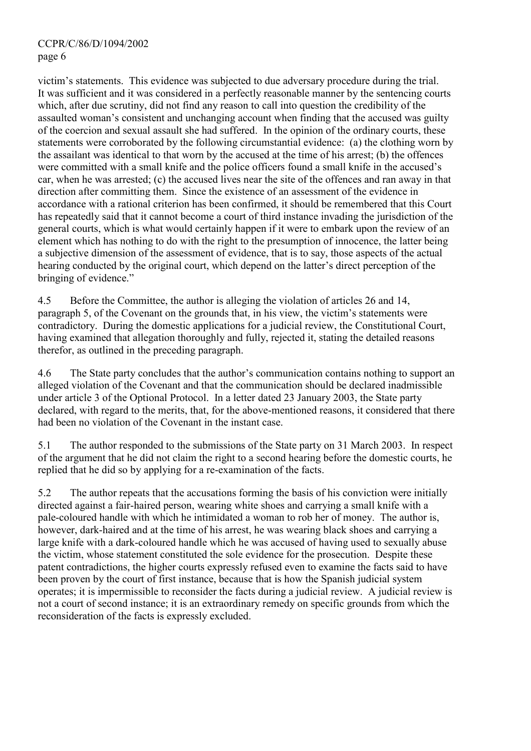victim's statements. This evidence was subjected to due adversary procedure during the trial. It was sufficient and it was considered in a perfectly reasonable manner by the sentencing courts which, after due scrutiny, did not find any reason to call into question the credibility of the assaulted woman's consistent and unchanging account when finding that the accused was guilty of the coercion and sexual assault she had suffered. In the opinion of the ordinary courts, these statements were corroborated by the following circumstantial evidence: (a) the clothing worn by the assailant was identical to that worn by the accused at the time of his arrest; (b) the offences were committed with a small knife and the police officers found a small knife in the accused's car, when he was arrested; (c) the accused lives near the site of the offences and ran away in that direction after committing them. Since the existence of an assessment of the evidence in accordance with a rational criterion has been confirmed, it should be remembered that this Court has repeatedly said that it cannot become a court of third instance invading the jurisdiction of the general courts, which is what would certainly happen if it were to embark upon the review of an element which has nothing to do with the right to the presumption of innocence, the latter being a subjective dimension of the assessment of evidence, that is to say, those aspects of the actual hearing conducted by the original court, which depend on the latter's direct perception of the bringing of evidence."

4.5 Before the Committee, the author is alleging the violation of articles 26 and 14, paragraph 5, of the Covenant on the grounds that, in his view, the victim's statements were contradictory. During the domestic applications for a judicial review, the Constitutional Court, having examined that allegation thoroughly and fully, rejected it, stating the detailed reasons therefor, as outlined in the preceding paragraph.

4.6 The State party concludes that the author's communication contains nothing to support an alleged violation of the Covenant and that the communication should be declared inadmissible under article 3 of the Optional Protocol. In a letter dated 23 January 2003, the State party declared, with regard to the merits, that, for the above-mentioned reasons, it considered that there had been no violation of the Covenant in the instant case.

5.1 The author responded to the submissions of the State party on 31 March 2003. In respect of the argument that he did not claim the right to a second hearing before the domestic courts, he replied that he did so by applying for a re-examination of the facts.

5.2 The author repeats that the accusations forming the basis of his conviction were initially directed against a fair-haired person, wearing white shoes and carrying a small knife with a pale-coloured handle with which he intimidated a woman to rob her of money. The author is, however, dark-haired and at the time of his arrest, he was wearing black shoes and carrying a large knife with a dark-coloured handle which he was accused of having used to sexually abuse the victim, whose statement constituted the sole evidence for the prosecution. Despite these patent contradictions, the higher courts expressly refused even to examine the facts said to have been proven by the court of first instance, because that is how the Spanish judicial system operates; it is impermissible to reconsider the facts during a judicial review. A judicial review is not a court of second instance; it is an extraordinary remedy on specific grounds from which the reconsideration of the facts is expressly excluded.